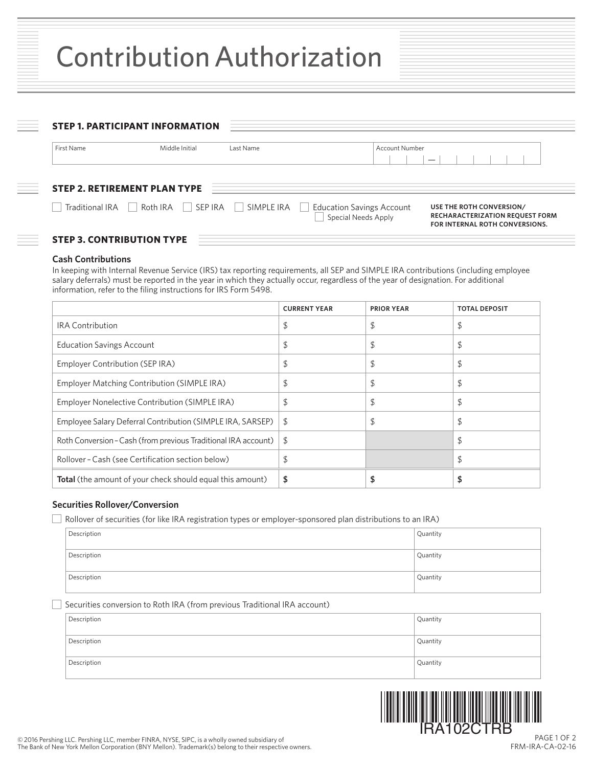| First Name             | Middle Initial                      | Last Name | <b>Account Number</b>                                                        |
|------------------------|-------------------------------------|-----------|------------------------------------------------------------------------------|
|                        |                                     |           | $\overline{\phantom{0}}$                                                     |
|                        |                                     |           |                                                                              |
|                        |                                     |           |                                                                              |
|                        | <b>STEP 2. RETIREMENT PLAN TYPE</b> |           |                                                                              |
| $\mid$ Traditional IRA | Roth IRA SEP IRA   SIMPLE IRA       |           | Education Savings Account<br>USE THE ROTH CONVERSION/<br>Special Needs Apply |

## **Cash Contributions**

In keeping with Internal Revenue Service (IRS) tax reporting requirements, all SEP and SIMPLE IRA contributions (including employee salary deferrals) must be reported in the year in which they actually occur, regardless of the year of designation. For additional information, refer to the filing instructions for IRS Form 5498.

|                                                                | <b>CURRENT YEAR</b> | <b>PRIOR YEAR</b> | <b>TOTAL DEPOSIT</b> |
|----------------------------------------------------------------|---------------------|-------------------|----------------------|
| <b>IRA Contribution</b>                                        | \$                  | \$                | \$                   |
| <b>Education Savings Account</b>                               | \$                  | \$                | \$                   |
| Employer Contribution (SEP IRA)                                | \$                  | \$                | \$                   |
| Employer Matching Contribution (SIMPLE IRA)                    | \$                  | \$                | \$                   |
| Employer Nonelective Contribution (SIMPLE IRA)                 | \$                  | \$                | \$                   |
| Employee Salary Deferral Contribution (SIMPLE IRA, SARSEP)     | \$                  | \$                | \$                   |
| Roth Conversion - Cash (from previous Traditional IRA account) | S.                  |                   | \$                   |
| Rollover - Cash (see Certification section below)              | \$                  |                   | \$                   |
| Total (the amount of your check should equal this amount)      | \$                  |                   |                      |

# **Securities Rollover/Conversion**

Rollover of securities (for like IRA registration types or employer-sponsored plan distributions to an IRA)

| Description | Quantity |
|-------------|----------|
| Description | Quantity |
| Description | Quantity |

# Securities conversion to Roth IRA (from previous Traditional IRA account)

| Description | Quantity |
|-------------|----------|
| Description | Quantity |
| Description | Quantity |